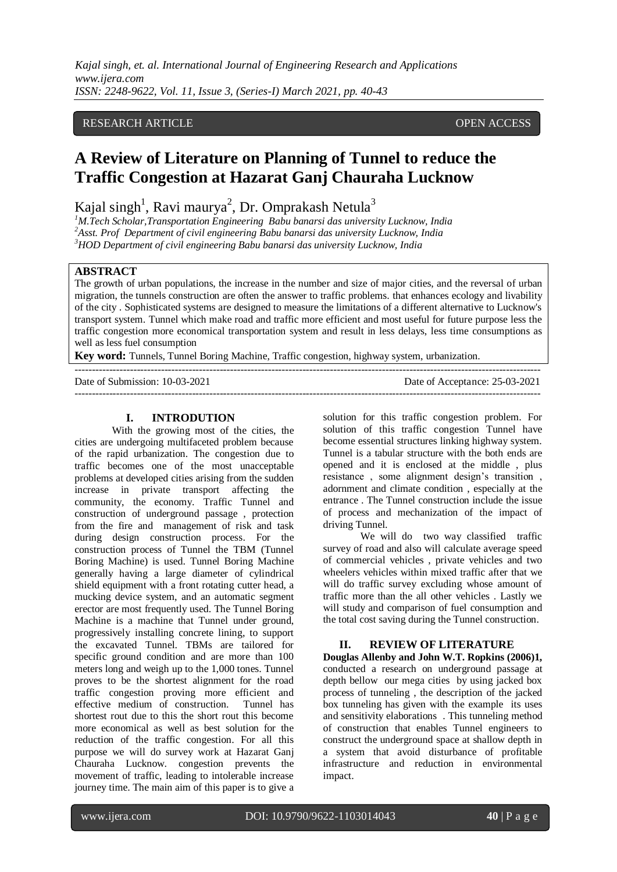### RESEARCH ARTICLE **CONSERVERS** OPEN ACCESS

# **A Review of Literature on Planning of Tunnel to reduce the Traffic Congestion at Hazarat Ganj Chauraha Lucknow**

Kajal singh<sup>1</sup>, Ravi maurya<sup>2</sup>, Dr. Omprakash Netula<sup>3</sup>

*<sup>1</sup>M.Tech Scholar,Transportation Engineering Babu banarsi das university Lucknow, India <sup>2</sup>Asst. Prof Department of civil engineering Babu banarsi das university Lucknow, India <sup>3</sup>HOD Department of civil engineering Babu banarsi das university Lucknow, India*

## **ABSTRACT**

The growth of urban populations, the increase in the number and size of major cities, and the reversal of urban migration, the tunnels construction are often the answer to traffic problems. that enhances ecology and livability of the city . Sophisticated systems are designed to measure the limitations of a different alternative to Lucknow's transport system. Tunnel which make road and traffic more efficient and most useful for future purpose less the traffic congestion more economical transportation system and result in less delays, less time consumptions as well as less fuel consumption

**Key word:** Tunnels, Tunnel Boring Machine, Traffic congestion, highway system, urbanization.

| Date of Submission: 10-03-2021 | Date of Acceptance: 25-03-2021 |
|--------------------------------|--------------------------------|
|                                |                                |

#### **I. INTRODUTION**

With the growing most of the cities, the cities are undergoing multifaceted problem because of the rapid urbanization. The congestion due to traffic becomes one of the most unacceptable problems at developed cities arising from the sudden increase in private transport affecting the community, the economy. Traffic Tunnel and construction of underground passage , protection from the fire and management of risk and task during design construction process. For the construction process of Tunnel the TBM (Tunnel Boring Machine) is used. Tunnel Boring Machine generally having a large diameter of cylindrical shield equipment with a front rotating cutter head, a mucking device system, and an automatic segment erector are most frequently used. The Tunnel Boring Machine is a machine that Tunnel under ground, progressively installing concrete lining, to support the excavated Tunnel. TBMs are tailored for specific ground condition and are more than 100 meters long and weigh up to the 1,000 tones. Tunnel proves to be the shortest alignment for the road traffic congestion proving more efficient and effective medium of construction. Tunnel has shortest rout due to this the short rout this become more economical as well as best solution for the reduction of the traffic congestion. For all this purpose we will do survey work at Hazarat Ganj Chauraha Lucknow. congestion prevents the movement of traffic, leading to intolerable increase journey time. The main aim of this paper is to give a solution for this traffic congestion problem. For solution of this traffic congestion Tunnel have become essential structures linking highway system. Tunnel is a tabular structure with the both ends are opened and it is enclosed at the middle , plus resistance , some alignment design's transition , adornment and climate condition , especially at the entrance . The Tunnel construction include the issue of process and mechanization of the impact of driving Tunnel.

We will do two way classified traffic survey of road and also will calculate average speed of commercial vehicles , private vehicles and two wheelers vehicles within mixed traffic after that we will do traffic survey excluding whose amount of traffic more than the all other vehicles . Lastly we will study and comparison of fuel consumption and the total cost saving during the Tunnel construction.

#### **II. REVIEW OF LITERATURE**

**Douglas Allenby and John W.T. Ropkins (2006)1,**  conducted a research on underground passage at depth bellow our mega cities by using jacked box process of tunneling , the description of the jacked box tunneling has given with the example its uses and sensitivity elaborations . This tunneling method of construction that enables Tunnel engineers to construct the underground space at shallow depth in a system that avoid disturbance of profitable infrastructure and reduction in environmental impact.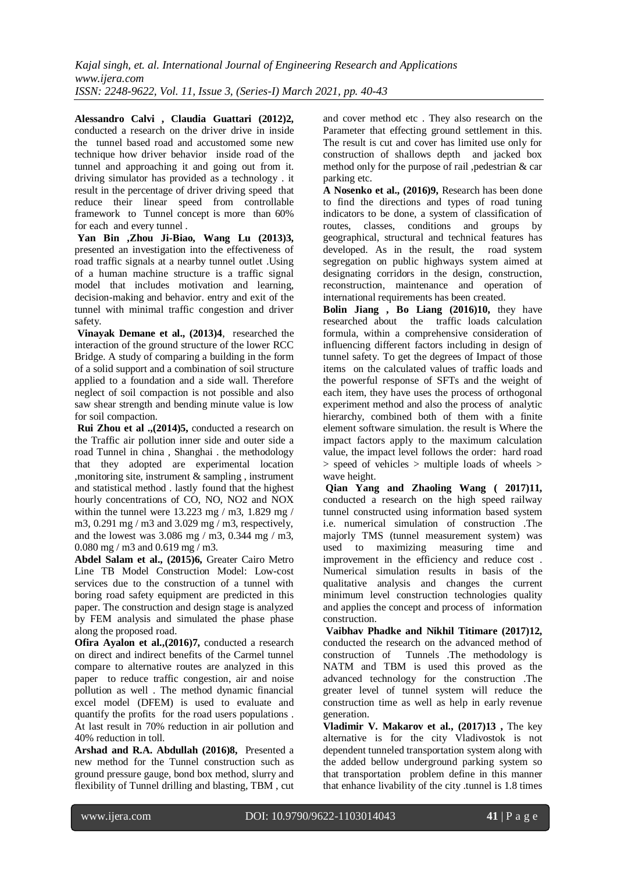**Alessandro Calvi , Claudia Guattari (2012)2,** conducted a research on the driver drive in inside the tunnel based road and accustomed some new technique how driver behavior inside road of the tunnel and approaching it and going out from it. driving simulator has provided as a technology . it result in the percentage of driver driving speed that reduce their linear speed from controllable framework to Tunnel concept is more than 60% for each and every tunnel .

**Yan Bin ,Zhou Ji-Biao, Wang Lu (2013)3,** presented an investigation into the effectiveness of road traffic signals at a nearby tunnel outlet .Using of a human machine structure is a traffic signal model that includes motivation and learning, decision-making and behavior. entry and exit of the tunnel with minimal traffic congestion and driver safety.

**Vinayak Demane et al., (2013)4**, researched the interaction of the ground structure of the lower RCC Bridge. A study of comparing a building in the form of a solid support and a combination of soil structure applied to a foundation and a side wall. Therefore neglect of soil compaction is not possible and also saw shear strength and bending minute value is low for soil compaction.

**Rui Zhou et al .,(2014)5,** conducted a research on the Traffic air pollution inner side and outer side a road Tunnel in china , Shanghai . the methodology that they adopted are experimental location ,monitoring site, instrument & sampling , instrument and statistical method . lastly found that the highest hourly concentrations of CO, NO, NO2 and NOX within the tunnel were  $13.223$  mg / m3, 1.829 mg / m3, 0.291 mg / m3 and 3.029 mg / m3, respectively, and the lowest was 3.086 mg / m3, 0.344 mg / m3, 0.080 mg / m3 and 0.619 mg / m3.

**Abdel Salam et al., (2015)6,** Greater Cairo Metro Line TB Model Construction Model: Low-cost services due to the construction of a tunnel with boring road safety equipment are predicted in this paper. The construction and design stage is analyzed by FEM analysis and simulated the phase phase along the proposed road.

**Ofira Ayalon et al.,(2016)7,** conducted a research on direct and indirect benefits of the Carmel tunnel compare to alternative routes are analyzed in this paper to reduce traffic congestion, air and noise pollution as well . The method dynamic financial excel model (DFEM) is used to evaluate and quantify the profits for the road users populations . At last result in 70% reduction in air pollution and 40% reduction in toll.

**Arshad and R.A. Abdullah (2016)8,** Presented a new method for the Tunnel construction such as ground pressure gauge, bond box method, slurry and flexibility of Tunnel drilling and blasting, TBM , cut and cover method etc . They also research on the Parameter that effecting ground settlement in this. The result is cut and cover has limited use only for construction of shallows depth and jacked box method only for the purpose of rail ,pedestrian & car parking etc.

**A Nosenko et al., (2016)9,** Research has been done to find the directions and types of road tuning indicators to be done, a system of classification of routes, classes, conditions and groups by geographical, structural and technical features has developed. As in the result, the road system segregation on public highways system aimed at designating corridors in the design, construction, reconstruction, maintenance and operation of international requirements has been created.

**Bolin Jiang , Bo Liang (2016)10,** they have researched about the traffic loads calculation formula, within a comprehensive consideration of influencing different factors including in design of tunnel safety. To get the degrees of Impact of those items on the calculated values of traffic loads and the powerful response of SFTs and the weight of each item, they have uses the process of orthogonal experiment method and also the process of analytic hierarchy, combined both of them with a finite element software simulation. the result is Where the impact factors apply to the maximum calculation value, the impact level follows the order: hard road > speed of vehicles > multiple loads of wheels > wave height.

**Qian Yang and Zhaoling Wang ( 2017)11,** conducted a research on the high speed railway tunnel constructed using information based system i.e. numerical simulation of construction .The majorly TMS (tunnel measurement system) was used to maximizing measuring time and improvement in the efficiency and reduce cost . Numerical simulation results in basis of the qualitative analysis and changes the current minimum level construction technologies quality and applies the concept and process of information construction.

**Vaibhav Phadke and Nikhil Titimare (2017)12,**  conducted the research on the advanced method of construction of Tunnels .The methodology is NATM and TBM is used this proved as the advanced technology for the construction .The greater level of tunnel system will reduce the construction time as well as help in early revenue generation.

**Vladimir V. Makarov et al., (2017)13 ,** The key alternative is for the city Vladivostok is not dependent tunneled transportation system along with the added bellow underground parking system so that transportation problem define in this manner that enhance livability of the city .tunnel is 1.8 times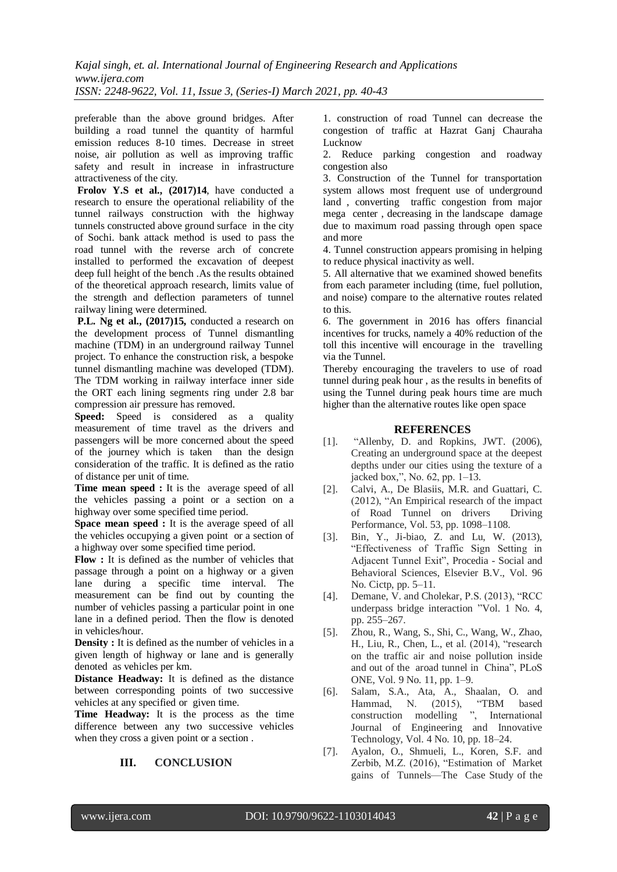preferable than the above ground bridges. After building a road tunnel the quantity of harmful emission reduces 8-10 times. Decrease in street noise, air pollution as well as improving traffic safety and result in increase in infrastructure attractiveness of the city.

**Frolov Y.S et al., (2017)14**, have conducted a research to ensure the operational reliability of the tunnel railways construction with the highway tunnels constructed above ground surface in the city of Sochi. bank attack method is used to pass the road tunnel with the reverse arch of concrete installed to performed the excavation of deepest deep full height of the bench .As the results obtained of the theoretical approach research, limits value of the strength and deflection parameters of tunnel railway lining were determined.

**P.L. Ng et al., (2017)15,** conducted a research on the development process of Tunnel dismantling machine (TDM) in an underground railway Tunnel project. To enhance the construction risk, a bespoke tunnel dismantling machine was developed (TDM). The TDM working in railway interface inner side the ORT each lining segments ring under 2.8 bar compression air pressure has removed.

**Speed:** Speed is considered as a quality measurement of time travel as the drivers and passengers will be more concerned about the speed of the journey which is taken than the design consideration of the traffic. It is defined as the ratio of distance per unit of time.

**Time mean speed :** It is the average speed of all the vehicles passing a point or a section on a highway over some specified time period.

**Space mean speed :** It is the average speed of all the vehicles occupying a given point or a section of a highway over some specified time period.

**Flow :** It is defined as the number of vehicles that passage through a point on a highway or a given lane during a specific time interval. The measurement can be find out by counting the number of vehicles passing a particular point in one lane in a defined period. Then the flow is denoted in vehicles/hour*.*

**Density**: It is defined as the number of vehicles in a given length of highway or lane and is generally denoted as vehicles per km.

**Distance Headway:** It is defined as the distance between corresponding points of two successive vehicles at any specified or given time.

**Time Headway:** It is the process as the time difference between any two successive vehicles when they cross a given point or a section .

# **III. CONCLUSION**

1. construction of road Tunnel can decrease the congestion of traffic at Hazrat Ganj Chauraha Lucknow

2. Reduce parking congestion and roadway congestion also

3. Construction of the Tunnel for transportation system allows most frequent use of underground land , converting traffic congestion from major mega center , decreasing in the landscape damage due to maximum road passing through open space and more

4. Tunnel construction appears promising in helping to reduce physical inactivity as well.

5. All alternative that we examined showed benefits from each parameter including (time, fuel pollution, and noise) compare to the alternative routes related to this.

6. The government in 2016 has offers financial incentives for trucks, namely a 40% reduction of the toll this incentive will encourage in the travelling via the Tunnel.

Thereby encouraging the travelers to use of road tunnel during peak hour , as the results in benefits of using the Tunnel during peak hours time are much higher than the alternative routes like open space

#### **REFERENCES**

- [1]. "Allenby, D. and Ropkins, JWT. (2006), Creating an underground space at the deepest depths under our cities using the texture of a jacked box,", No. 62, pp. 1–13.
- [2]. Calvi, A., De Blasiis, M.R. and Guattari, C. (2012), "An Empirical research of the impact of Road Tunnel on drivers Driving Performance, Vol. 53, pp. 1098–1108.
- [3]. Bin, Y., Ji-biao, Z. and Lu, W. (2013), "Effectiveness of Traffic Sign Setting in Adjacent Tunnel Exit", Procedia - Social and Behavioral Sciences, Elsevier B.V., Vol. 96 No. Cictp, pp. 5–11.
- [4]. Demane, V. and Cholekar, P.S. (2013), "RCC underpass bridge interaction "Vol. 1 No. 4, pp. 255–267.
- [5]. Zhou, R., Wang, S., Shi, C., Wang, W., Zhao, H., Liu, R., Chen, L., et al. (2014), "research on the traffic air and noise pollution inside and out of the aroad tunnel in China", PLoS ONE, Vol. 9 No. 11, pp. 1–9.
- [6]. Salam, S.A., Ata, A., Shaalan, O. and Hammad, N. (2015), "TBM based construction modelling ", International Journal of Engineering and Innovative Technology, Vol. 4 No. 10, pp. 18–24.
- [7]. Ayalon, O., Shmueli, L., Koren, S.F. and Zerbib, M.Z. (2016), "Estimation of Market gains of Tunnels—The Case Study of the